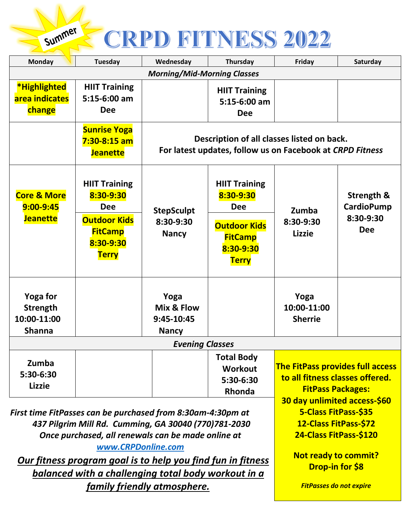## CRPD FITNESS 2022

Summer

| <b>Monday</b>                                                                                                                                                                                   | <b>Tuesday</b>                                                                                                        | Wednesday                                                                                               | Thursday                                                                                                              | Friday                                                                                                                                 | Saturday                                                              |
|-------------------------------------------------------------------------------------------------------------------------------------------------------------------------------------------------|-----------------------------------------------------------------------------------------------------------------------|---------------------------------------------------------------------------------------------------------|-----------------------------------------------------------------------------------------------------------------------|----------------------------------------------------------------------------------------------------------------------------------------|-----------------------------------------------------------------------|
| <b>Morning/Mid-Morning Classes</b>                                                                                                                                                              |                                                                                                                       |                                                                                                         |                                                                                                                       |                                                                                                                                        |                                                                       |
| *Highlighted<br>area indicates<br>change                                                                                                                                                        | <b>HIIT Training</b><br>$5:15-6:00$ am<br><b>Dee</b>                                                                  |                                                                                                         | <b>HIIT Training</b><br>$5:15-6:00$ am<br><b>Dee</b>                                                                  |                                                                                                                                        |                                                                       |
|                                                                                                                                                                                                 | <b>Sunrise Yoga</b><br>$7:30-8:15$ am<br><b>Jeanette</b>                                                              | Description of all classes listed on back.<br>For latest updates, follow us on Facebook at CRPD Fitness |                                                                                                                       |                                                                                                                                        |                                                                       |
| <b>Core &amp; More</b><br>$9:00 - 9:45$<br><b>Jeanette</b>                                                                                                                                      | <b>HIIT Training</b><br>8:30-9:30<br><b>Dee</b><br><b>Outdoor Kids</b><br><b>FitCamp</b><br>8:30-9:30<br><b>Terry</b> | <b>StepSculpt</b><br>8:30-9:30<br><b>Nancy</b>                                                          | <b>HIIT Training</b><br>8:30-9:30<br><b>Dee</b><br><b>Outdoor Kids</b><br><b>FitCamp</b><br>8:30-9:30<br><b>Terry</b> | Zumba<br>8:30-9:30<br><b>Lizzie</b>                                                                                                    | <b>Strength &amp;</b><br><b>CardioPump</b><br>8:30-9:30<br><b>Dee</b> |
| <b>Yoga for</b><br><b>Strength</b><br>10:00-11:00<br><b>Shanna</b>                                                                                                                              |                                                                                                                       | Yoga<br>Mix & Flow<br>9:45-10:45<br><b>Nancy</b>                                                        |                                                                                                                       | Yoga<br>10:00-11:00<br><b>Sherrie</b>                                                                                                  |                                                                       |
| <b>Evening Classes</b>                                                                                                                                                                          |                                                                                                                       |                                                                                                         |                                                                                                                       |                                                                                                                                        |                                                                       |
| Zumba<br>5:30-6:30<br><b>Lizzie</b>                                                                                                                                                             |                                                                                                                       |                                                                                                         | <b>Total Body</b><br>Workout<br>5:30-6:30<br>Rhonda                                                                   | <b>The FitPass provides full access</b><br>to all fitness classes offered.<br><b>FitPass Packages:</b><br>30 day unlimited access-\$60 |                                                                       |
| First time FitPasses can be purchased from 8:30am-4:30pm at<br>437 Pilgrim Mill Rd. Cumming, GA 30040 (770)781-2030<br>Once purchased, all renewals can be made online at<br>www.CRPDonline.com |                                                                                                                       |                                                                                                         |                                                                                                                       | 5-Class FitPass-\$35<br>12-Class FitPass-\$72<br>24-Class FitPass-\$120                                                                |                                                                       |
| Our fitness program goal is to help you find fun in fitness<br>balanced with a challenging total body workout in a                                                                              |                                                                                                                       |                                                                                                         |                                                                                                                       | <b>Not ready to commit?</b><br><b>Drop-in for \$8</b>                                                                                  |                                                                       |
| family friendly atmosphere.                                                                                                                                                                     |                                                                                                                       |                                                                                                         |                                                                                                                       | <b>FitPasses do not expire</b>                                                                                                         |                                                                       |